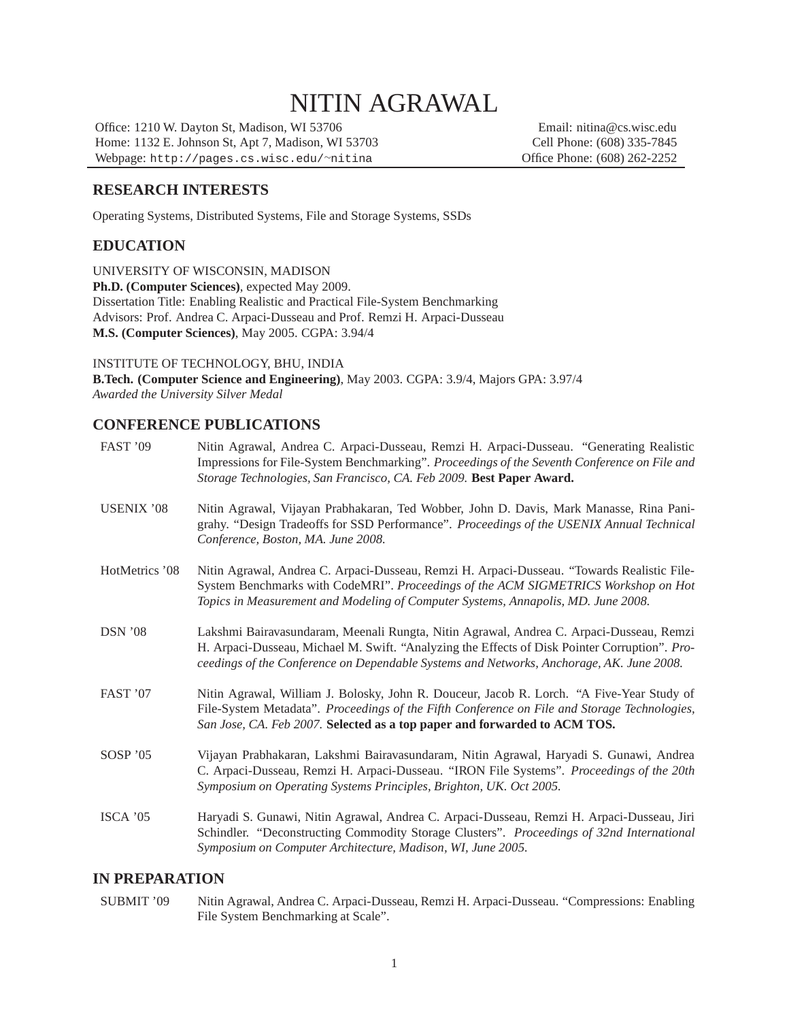# NITIN AGRAWAL

Office: 1210 W. Dayton St, Madison, WI 53706 Email: nitina@cs.wisc.edu Home: 1132 E. Johnson St, Apt 7, Madison, WI 53703 Cell Phone: (608) 335-7845<br>Webpage: http://pages.cs.wisc.edu/~nitina Office Phone: (608) 262-2252 Webpage: http://pages.cs.wisc.edu/~nitina

#### **RESEARCH INTERESTS**

Operating Systems, Distributed Systems, File and Storage Systems, SSDs

#### **EDUCATION**

UNIVERSITY OF WISCONSIN, MADISON **Ph.D. (Computer Sciences)**, expected May 2009. Dissertation Title: Enabling Realistic and Practical File-System Benchmarking Advisors: Prof. Andrea C. Arpaci-Dusseau and Prof. Remzi H. Arpaci-Dusseau **M.S. (Computer Sciences)**, May 2005. CGPA: 3.94/4

INSTITUTE OF TECHNOLOGY, BHU, INDIA

**B.Tech. (Computer Science and Engineering)**, May 2003. CGPA: 3.9/4, Majors GPA: 3.97/4 *Awarded the University Silver Medal*

#### **CONFERENCE PUBLICATIONS**

| FAST '09          | Nitin Agrawal, Andrea C. Arpaci-Dusseau, Remzi H. Arpaci-Dusseau. "Generating Realistic<br>Impressions for File-System Benchmarking". Proceedings of the Seventh Conference on File and<br>Storage Technologies, San Francisco, CA. Feb 2009. Best Paper Award.                      |
|-------------------|--------------------------------------------------------------------------------------------------------------------------------------------------------------------------------------------------------------------------------------------------------------------------------------|
| <b>USENIX</b> '08 | Nitin Agrawal, Vijayan Prabhakaran, Ted Wobber, John D. Davis, Mark Manasse, Rina Pani-<br>grahy. "Design Tradeoffs for SSD Performance". Proceedings of the USENIX Annual Technical<br>Conference, Boston, MA. June 2008.                                                           |
| HotMetrics '08    | Nitin Agrawal, Andrea C. Arpaci-Dusseau, Remzi H. Arpaci-Dusseau. "Towards Realistic File-<br>System Benchmarks with CodeMRI". Proceedings of the ACM SIGMETRICS Workshop on Hot<br>Topics in Measurement and Modeling of Computer Systems, Annapolis, MD. June 2008.                |
| DSN'08            | Lakshmi Bairavasundaram, Meenali Rungta, Nitin Agrawal, Andrea C. Arpaci-Dusseau, Remzi<br>H. Arpaci-Dusseau, Michael M. Swift. "Analyzing the Effects of Disk Pointer Corruption". Pro-<br>ceedings of the Conference on Dependable Systems and Networks, Anchorage, AK. June 2008. |
| FAST '07          | Nitin Agrawal, William J. Bolosky, John R. Douceur, Jacob R. Lorch. "A Five-Year Study of<br>File-System Metadata". Proceedings of the Fifth Conference on File and Storage Technologies,<br>San Jose, CA. Feb 2007. Selected as a top paper and forwarded to ACM TOS.               |
| SOSP '05          | Vijayan Prabhakaran, Lakshmi Bairavasundaram, Nitin Agrawal, Haryadi S. Gunawi, Andrea<br>C. Arpaci-Dusseau, Remzi H. Arpaci-Dusseau. "IRON File Systems". Proceedings of the 20th<br>Symposium on Operating Systems Principles, Brighton, UK. Oct 2005.                             |
| ISCA'05           | Haryadi S. Gunawi, Nitin Agrawal, Andrea C. Arpaci-Dusseau, Remzi H. Arpaci-Dusseau, Jiri<br>Schindler. "Deconstructing Commodity Storage Clusters". Proceedings of 32nd International<br>Symposium on Computer Architecture, Madison, WI, June 2005.                                |

#### **IN PREPARATION**

SUBMIT '09 Nitin Agrawal, Andrea C. Arpaci-Dusseau, Remzi H. Arpaci-Dusseau. "Compressions: Enabling File System Benchmarking at Scale".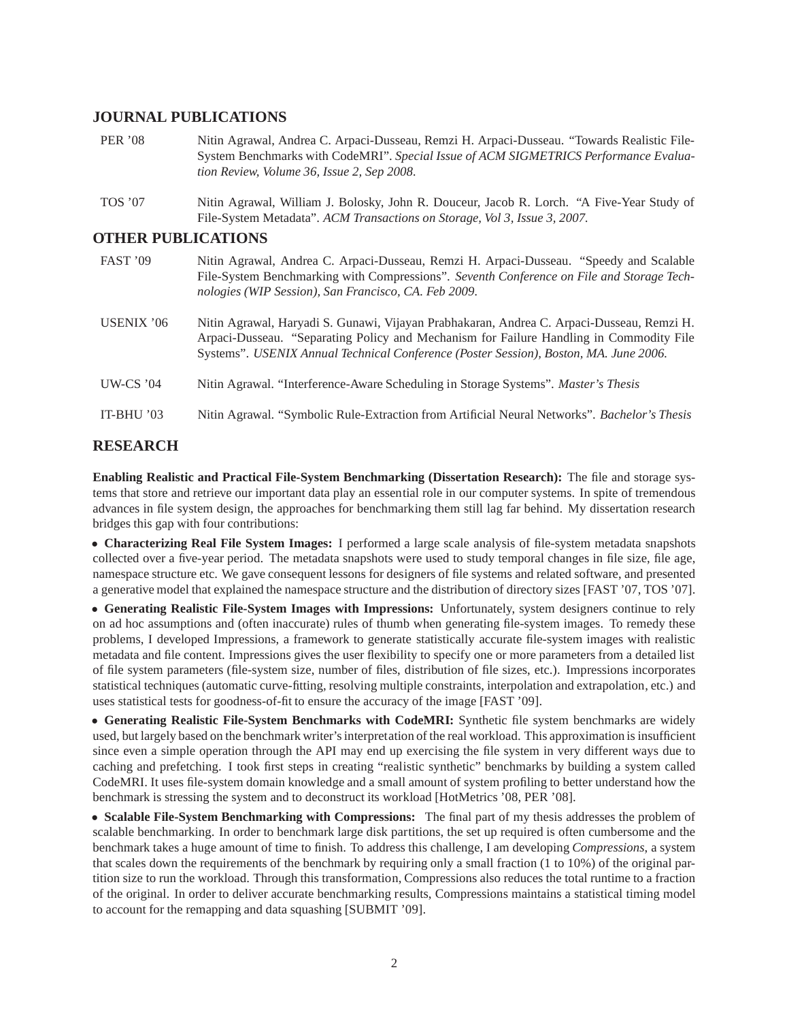#### **JOURNAL PUBLICATIONS**

| <b>PER</b> '08            | Nitin Agrawal, Andrea C. Arpaci-Dusseau, Remzi H. Arpaci-Dusseau. "Towards Realistic File-<br>System Benchmarks with CodeMRI". Special Issue of ACM SIGMETRICS Performance Evalua-<br>tion Review, Volume 36, Issue 2, Sep 2008.                                              |
|---------------------------|-------------------------------------------------------------------------------------------------------------------------------------------------------------------------------------------------------------------------------------------------------------------------------|
| <b>TOS</b> '07            | Nitin Agrawal, William J. Bolosky, John R. Douceur, Jacob R. Lorch. "A Five-Year Study of<br>File-System Metadata". ACM Transactions on Storage, Vol 3, Issue 3, 2007.                                                                                                        |
| <b>OTHER PUBLICATIONS</b> |                                                                                                                                                                                                                                                                               |
| <b>FAST</b> '09           | Nitin Agrawal, Andrea C. Arpaci-Dusseau, Remzi H. Arpaci-Dusseau. "Speedy and Scalable"<br>File-System Benchmarking with Compressions". Seventh Conference on File and Storage Tech-<br>nologies (WIP Session), San Francisco, CA. Feb 2009.                                  |
| USENIX '06                | Nitin Agrawal, Haryadi S. Gunawi, Vijayan Prabhakaran, Andrea C. Arpaci-Dusseau, Remzi H.<br>Arpaci-Dusseau. "Separating Policy and Mechanism for Failure Handling in Commodity File<br>Systems". USENIX Annual Technical Conference (Poster Session), Boston, MA. June 2006. |
| <b>UW-CS '04</b>          | Nitin Agrawal. "Interference-Aware Scheduling in Storage Systems". Master's Thesis                                                                                                                                                                                            |

# **RESEARCH**

**Enabling Realistic and Practical File-System Benchmarking (Dissertation Research):** The file and storage systems that store and retrieve our important data play an essential role in our computer systems. In spite of tremendous advances in file system design, the approaches for benchmarking them still lag far behind. My dissertation research bridges this gap with four contributions:

IT-BHU '03 Nitin Agrawal. "Symbolic Rule-Extraction from Artificial Neural Networks". *Bachelor's Thesis*

• **Characterizing Real File System Images:** I performed a large scale analysis of file-system metadata snapshots collected over a five-year period. The metadata snapshots were used to study temporal changes in file size, file age, namespace structure etc. We gave consequent lessons for designers of file systems and related software, and presented a generative model that explained the namespace structure and the distribution of directory sizes [FAST '07, TOS '07].

• **Generating Realistic File-System Images with Impressions:** Unfortunately, system designers continue to rely on ad hoc assumptions and (often inaccurate) rules of thumb when generating file-system images. To remedy these problems, I developed Impressions, a framework to generate statistically accurate file-system images with realistic metadata and file content. Impressions gives the user flexibility to specify one or more parameters from a detailed list of file system parameters (file-system size, number of files, distribution of file sizes, etc.). Impressions incorporates statistical techniques (automatic curve-fitting, resolving multiple constraints, interpolation and extrapolation, etc.) and uses statistical tests for goodness-of-fit to ensure the accuracy of the image [FAST '09].

• **Generating Realistic File-System Benchmarks with CodeMRI:** Synthetic file system benchmarks are widely used, but largely based on the benchmark writer's interpretation of the real workload. This approximation is insufficient since even a simple operation through the API may end up exercising the file system in very different ways due to caching and prefetching. I took first steps in creating "realistic synthetic" benchmarks by building a system called CodeMRI. It uses file-system domain knowledge and a small amount of system profiling to better understand how the benchmark is stressing the system and to deconstruct its workload [HotMetrics '08, PER '08].

• **Scalable File-System Benchmarking with Compressions:** The final part of my thesis addresses the problem of scalable benchmarking. In order to benchmark large disk partitions, the set up required is often cumbersome and the benchmark takes a huge amount of time to finish. To address this challenge, I am developing *Compressions*, a system that scales down the requirements of the benchmark by requiring only a small fraction (1 to 10%) of the original partition size to run the workload. Through this transformation, Compressions also reduces the total runtime to a fraction of the original. In order to deliver accurate benchmarking results, Compressions maintains a statistical timing model to account for the remapping and data squashing [SUBMIT '09].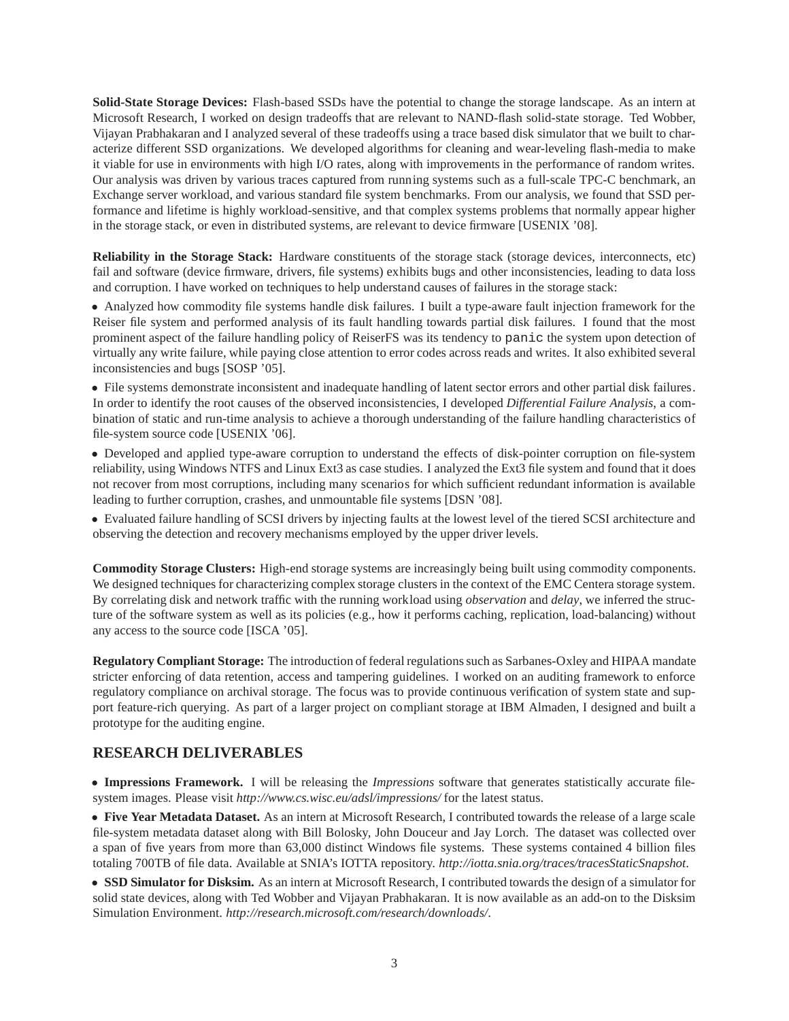**Solid-State Storage Devices:** Flash-based SSDs have the potential to change the storage landscape. As an intern at Microsoft Research, I worked on design tradeoffs that are relevant to NAND-flash solid-state storage. Ted Wobber, Vijayan Prabhakaran and I analyzed several of these tradeoffs using a trace based disk simulator that we built to characterize different SSD organizations. We developed algorithms for cleaning and wear-leveling flash-media to make it viable for use in environments with high I/O rates, along with improvements in the performance of random writes. Our analysis was driven by various traces captured from running systems such as a full-scale TPC-C benchmark, an Exchange server workload, and various standard file system benchmarks. From our analysis, we found that SSD performance and lifetime is highly workload-sensitive, and that complex systems problems that normally appear higher in the storage stack, or even in distributed systems, are relevant to device firmware [USENIX '08].

**Reliability in the Storage Stack:** Hardware constituents of the storage stack (storage devices, interconnects, etc) fail and software (device firmware, drivers, file systems) exhibits bugs and other inconsistencies, leading to data loss and corruption. I have worked on techniques to help understand causes of failures in the storage stack:

• Analyzed how commodity file systems handle disk failures. I built a type-aware fault injection framework for the Reiser file system and performed analysis of its fault handling towards partial disk failures. I found that the most prominent aspect of the failure handling policy of ReiserFS was its tendency to panic the system upon detection of virtually any write failure, while paying close attention to error codes across reads and writes. It also exhibited several inconsistencies and bugs [SOSP '05].

• File systems demonstrate inconsistent and inadequate handling of latent sector errors and other partial disk failures. In order to identify the root causes of the observed inconsistencies, I developed *Differential Failure Analysis*, a combination of static and run-time analysis to achieve a thorough understanding of the failure handling characteristics of file-system source code [USENIX '06].

• Developed and applied type-aware corruption to understand the effects of disk-pointer corruption on file-system reliability, using Windows NTFS and Linux Ext3 as case studies. I analyzed the Ext3 file system and found that it does not recover from most corruptions, including many scenarios for which sufficient redundant information is available leading to further corruption, crashes, and unmountable file systems [DSN '08].

• Evaluated failure handling of SCSI drivers by injecting faults at the lowest level of the tiered SCSI architecture and observing the detection and recovery mechanisms employed by the upper driver levels.

**Commodity Storage Clusters:** High-end storage systems are increasingly being built using commodity components. We designed techniques for characterizing complex storage clusters in the context of the EMC Centera storage system. By correlating disk and network traffic with the running workload using *observation* and *delay*, we inferred the structure of the software system as well as its policies (e.g., how it performs caching, replication, load-balancing) without any access to the source code [ISCA '05].

**Regulatory Compliant Storage:** The introduction of federal regulations such as Sarbanes-Oxley and HIPAA mandate stricter enforcing of data retention, access and tampering guidelines. I worked on an auditing framework to enforce regulatory compliance on archival storage. The focus was to provide continuous verification of system state and support feature-rich querying. As part of a larger project on compliant storage at IBM Almaden, I designed and built a prototype for the auditing engine.

# **RESEARCH DELIVERABLES**

• **Impressions Framework.** I will be releasing the *Impressions* software that generates statistically accurate filesystem images. Please visit *http://www.cs.wisc.eu/adsl/impressions/* for the latest status.

• **Five Year Metadata Dataset.** As an intern at Microsoft Research, I contributed towards the release of a large scale file-system metadata dataset along with Bill Bolosky, John Douceur and Jay Lorch. The dataset was collected over a span of five years from more than 63,000 distinct Windows file systems. These systems contained 4 billion files totaling 700TB of file data. Available at SNIA's IOTTA repository. *http://iotta.snia.org/traces/tracesStaticSnapshot*.

• **SSD Simulator for Disksim.** As an intern at Microsoft Research, I contributed towards the design of a simulator for solid state devices, along with Ted Wobber and Vijayan Prabhakaran. It is now available as an add-on to the Disksim Simulation Environment. *http://research.microsoft.com/research/downloads/*.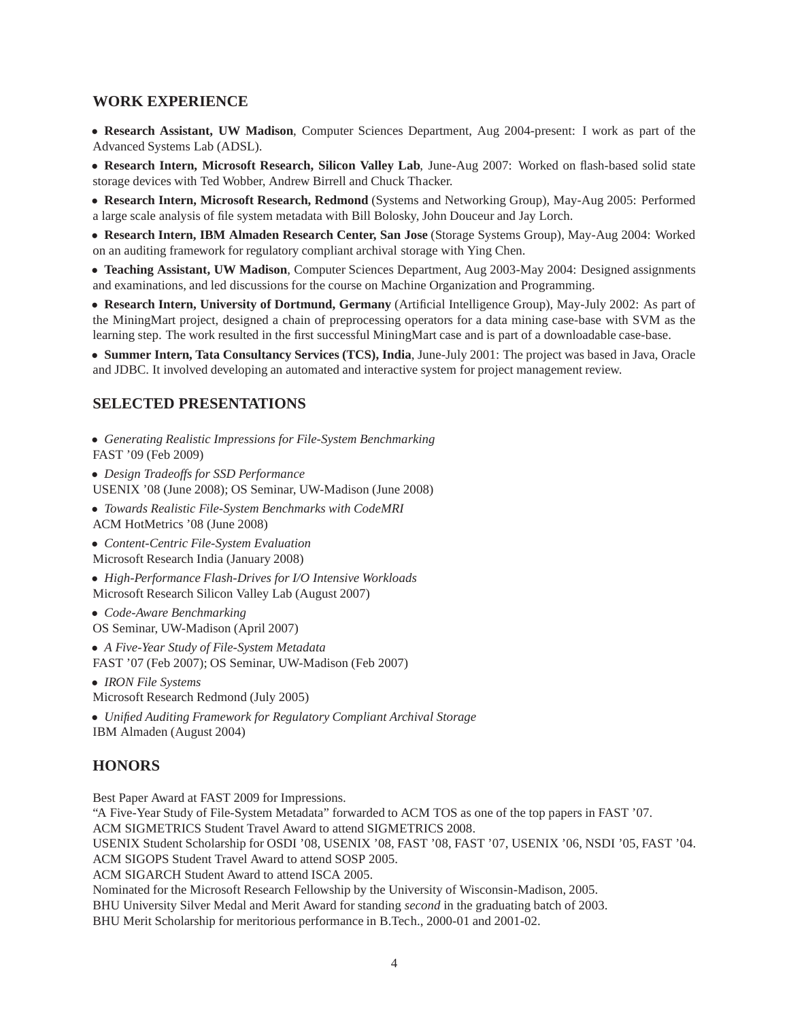#### **WORK EXPERIENCE**

• **Research Assistant, UW Madison**, Computer Sciences Department, Aug 2004-present: I work as part of the Advanced Systems Lab (ADSL).

• **Research Intern, Microsoft Research, Silicon Valley Lab**, June-Aug 2007: Worked on flash-based solid state storage devices with Ted Wobber, Andrew Birrell and Chuck Thacker.

• **Research Intern, Microsoft Research, Redmond** (Systems and Networking Group), May-Aug 2005: Performed a large scale analysis of file system metadata with Bill Bolosky, John Douceur and Jay Lorch.

• **Research Intern, IBM Almaden Research Center, San Jose** (Storage Systems Group), May-Aug 2004: Worked on an auditing framework for regulatory compliant archival storage with Ying Chen.

• **Teaching Assistant, UW Madison**, Computer Sciences Department, Aug 2003-May 2004: Designed assignments and examinations, and led discussions for the course on Machine Organization and Programming.

• **Research Intern, University of Dortmund, Germany** (Artificial Intelligence Group), May-July 2002: As part of the MiningMart project, designed a chain of preprocessing operators for a data mining case-base with SVM as the learning step. The work resulted in the first successful MiningMart case and is part of a downloadable case-base.

• **Summer Intern, Tata Consultancy Services (TCS), India**, June-July 2001: The project was based in Java, Oracle and JDBC. It involved developing an automated and interactive system for project management review.

#### **SELECTED PRESENTATIONS**

• *Generating Realistic Impressions for File-System Benchmarking* FAST '09 (Feb 2009)

• *Design Tradeoffs for SSD Performance* USENIX '08 (June 2008); OS Seminar, UW-Madison (June 2008)

• *Towards Realistic File-System Benchmarks with CodeMRI* ACM HotMetrics '08 (June 2008)

• *Content-Centric File-System Evaluation* Microsoft Research India (January 2008)

• *High-Performance Flash-Drives for I/O Intensive Workloads* Microsoft Research Silicon Valley Lab (August 2007)

• *Code-Aware Benchmarking* OS Seminar, UW-Madison (April 2007)

• *A Five-Year Study of File-System Metadata* FAST '07 (Feb 2007); OS Seminar, UW-Madison (Feb 2007)

• *IRON File Systems* Microsoft Research Redmond (July 2005)

• *Unified Auditing Framework for Regulatory Compliant Archival Storage* IBM Almaden (August 2004)

#### **HONORS**

Best Paper Award at FAST 2009 for Impressions.

"A Five-Year Study of File-System Metadata" forwarded to ACM TOS as one of the top papers in FAST '07.

ACM SIGMETRICS Student Travel Award to attend SIGMETRICS 2008.

USENIX Student Scholarship for OSDI '08, USENIX '08, FAST '08, FAST '07, USENIX '06, NSDI '05, FAST '04. ACM SIGOPS Student Travel Award to attend SOSP 2005.

ACM SIGARCH Student Award to attend ISCA 2005.

Nominated for the Microsoft Research Fellowship by the University of Wisconsin-Madison, 2005.

BHU University Silver Medal and Merit Award for standing *second* in the graduating batch of 2003.

BHU Merit Scholarship for meritorious performance in B.Tech., 2000-01 and 2001-02.